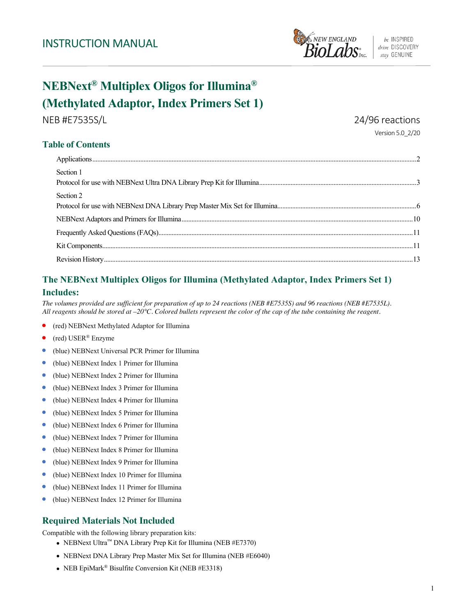

# **NEBNext® Multiplex Oligos for Illumina® (Methylated Adaptor, Index Primers Set 1)**

NEB #E7535S/L 24/96 reactions

Version 5.0\_2/20

# **Table of Contents**

| Section 1 |  |
|-----------|--|
|           |  |
| Section 2 |  |
|           |  |
|           |  |
|           |  |
|           |  |
|           |  |

# **The NEBNext Multiplex Oligos for Illumina (Methylated Adaptor, Index Primers Set 1) Includes:**

*The volumes provided are sufficient for preparation of up to 24 reactions (NEB #E7535S) and 96 reactions (NEB #E7535L). All reagents should be stored at –20°C. Colored bullets represent the color of the cap of the tube containing the reagent.* 

- (red) NEBNext Methylated Adaptor for Illumina
- (red) USER® Enzyme
- (blue) NEBNext Universal PCR Primer for Illumina  $\bullet$
- ٠ (blue) NEBNext Index 1 Primer for Illumina
- (blue) NEBNext Index 2 Primer for Illumina  $\bullet$
- $\bullet$ (blue) NEBNext Index 3 Primer for Illumina
- (blue) NEBNext Index 4 Primer for Illumina  $\bullet$
- $\bullet$ (blue) NEBNext Index 5 Primer for Illumina
- (blue) NEBNext Index 6 Primer for Illumina  $\bullet$
- $\bullet$ (blue) NEBNext Index 7 Primer for Illumina
- (blue) NEBNext Index 8 Primer for Illumina  $\bullet$
- $\bullet$ (blue) NEBNext Index 9 Primer for Illumina
- $\bullet$ (blue) NEBNext Index 10 Primer for Illumina
- (blue) NEBNext Index 11 Primer for Illumina
- (blue) NEBNext Index 12 Primer for Illumina

# **Required Materials Not Included**

Compatible with the following library preparation kits:

- NEBNext Ultra™ DNA Library Prep Kit for Illumina (NEB #E7370)
- NEBNext DNA Library Prep Master Mix Set for Illumina (NEB #E6040)
- NEB EpiMark® Bisulfite Conversion Kit (NEB #E3318)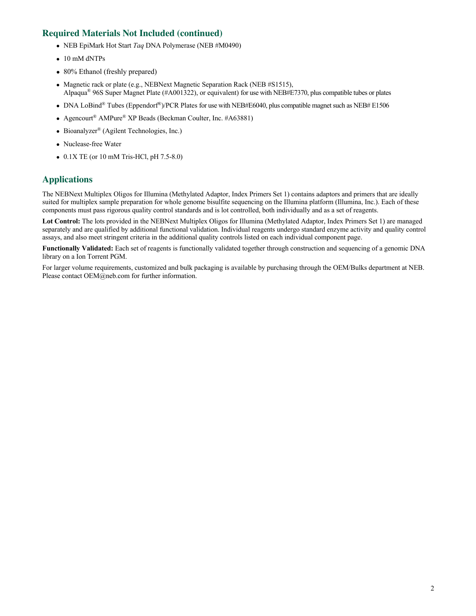# **Required Materials Not Included (continued)**

- NEB EpiMark Hot Start *Taq* DNA Polymerase (NEB #M0490)
- 10 mM dNTPs
- 80% Ethanol (freshly prepared)
- Magnetic rack or plate (e.g., NEBNext Magnetic Separation Rack (NEB #S1515), Alpaqua® 96S Super Magnet Plate (#A001322), or equivalent) for use with NEB#E7370, plus compatible tubes or plates
- DNA LoBind® Tubes (Eppendorf®)/PCR Plates for use with NEB#E6040, plus compatible magnet such as NEB# E1506
- Agencourt<sup>®</sup> AMPure<sup>®</sup> XP Beads (Beckman Coulter, Inc. #A63881)
- Bioanalyzer<sup>®</sup> (Agilent Technologies, Inc.)
- Nuclease-free Water
- 0.1X TE (or 10 mM Tris-HCl, pH 7.5-8.0)

# **Applications**

The NEBNext Multiplex Oligos for Illumina (Methylated Adaptor, Index Primers Set 1) contains adaptors and primers that are ideally suited for multiplex sample preparation for whole genome bisulfite sequencing on the Illumina platform (Illumina, Inc.). Each of these components must pass rigorous quality control standards and is lot controlled, both individually and as a set of reagents.

Lot Control: The lots provided in the NEBNext Multiplex Oligos for Illumina (Methylated Adaptor, Index Primers Set 1) are managed separately and are qualified by additional functional validation. Individual reagents undergo standard enzyme activity and quality control assays, and also meet stringent criteria in the additional quality controls listed on each individual component page.

**Functionally Validated:** Each set of reagents is functionally validated together through construction and sequencing of a genomic DNA library on a Ion Torrent PGM.

For larger volume requirements, customized and bulk packaging is available by purchasing through the OEM/Bulks department at NEB. Please contact OEM@neb.com for further information.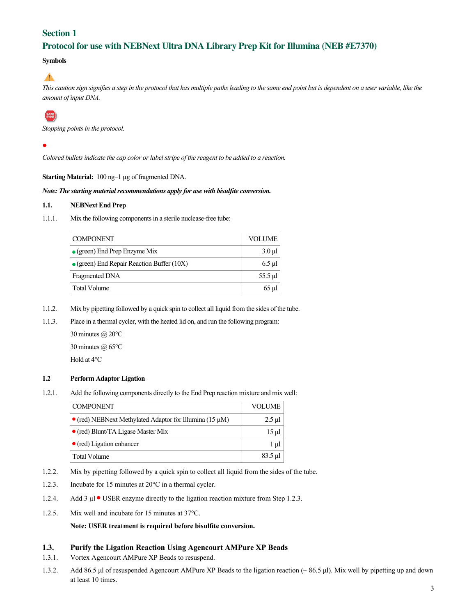## **Section 1**

# **Protocol for use with NEBNext Ultra DNA Library Prep Kit for Illumina (NEB #E7370)**

### **Symbols**

 $\blacktriangle$ 

*This caution sign signifies a step in the protocol that has multiple paths leading to the same end point but is dependent on a user variable, like the amount of input DNA.*

# **SAFE**<br>STOP

*Stopping points in the protocol.*

*Colored bullets indicate the cap color or label stripe of the reagent to be added to a reaction.*

**Starting Material:** 100 ng–1 µg of fragmented DNA.

*Note: The starting material recommendations apply for use with bisulfite conversion.*

### **1.1. NEBNext End Prep**

1.1.1. Mix the following components in a sterile nuclease-free tube:

| <b>COMPONENT</b>                                   | <b>VOLUME</b> |
|----------------------------------------------------|---------------|
| $\bullet$ (green) End Prep Enzyme Mix              | $3.0 \mu l$   |
| $\bullet$ (green) End Repair Reaction Buffer (10X) | $6.5$ µl      |
| Fragmented DNA                                     | 55.5 µl       |
| Total Volume                                       | $65 \mu$ l    |

- 1.1.2. Mix by pipetting followed by a quick spin to collect all liquid from the sides of the tube.
- 1.1.3. Place in a thermal cycler, with the heated lid on, and run the following program:

30 minutes @ 20°C 30 minutes @ 65°C Hold at 4°C

### **1.2 Perform Adaptor Ligation**

1.2.1. Add the following components directly to the End Prep reaction mixture and mix well:

| <b>COMPONENT</b>                                                | VOLUME         |
|-----------------------------------------------------------------|----------------|
| $\bullet$ (red) NEBNext Methylated Adaptor for Illumina (15 µM) | $2.5$ µl       |
| $\bullet$ (red) Blunt/TA Ligase Master Mix                      | $15 \mu$ l     |
| $\bullet$ (red) Ligation enhancer                               | 1 µl           |
| Total Volume                                                    | $83.5 \,\mu$ 1 |

- 1.2.2. Mix by pipetting followed by a quick spin to collect all liquid from the sides of the tube.
- 1.2.3. Incubate for 15 minutes at 20°C in a thermal cycler.
- 1.2.4. Add 3  $\mu$  USER enzyme directly to the ligation reaction mixture from Step 1.2.3.
- 1.2.5. Mix well and incubate for 15 minutes at 37°C.

**Note: USER treatment is required before bisulfite conversion.**

### **1.3. Purify the Ligation Reaction Using Agencourt AMPure XP Beads**

- 1.3.1. Vortex Agencourt AMPure XP Beads to resuspend.
- 1.3.2. Add 86.5 μl of resuspended Agencourt AMPure XP Beads to the ligation reaction (~ 86.5 μl). Mix well by pipetting up and down at least 10 times.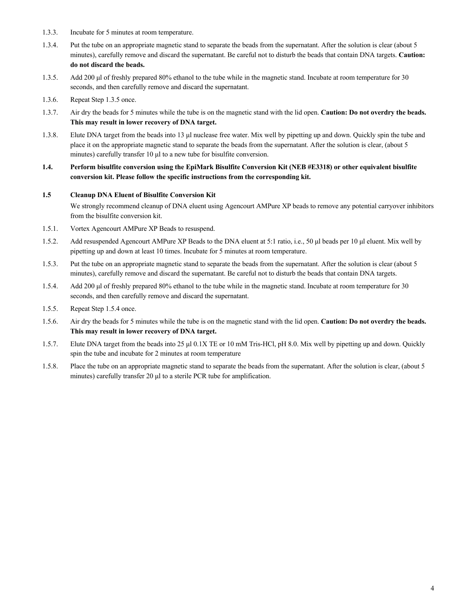- 1.3.3. Incubate for 5 minutes at room temperature.
- 1.3.4. Put the tube on an appropriate magnetic stand to separate the beads from the supernatant. After the solution is clear (about 5 minutes), carefully remove and discard the supernatant. Be careful not to disturb the beads that contain DNA targets. **Caution: do not discard the beads.**
- 1.3.5. Add 200 μl of freshly prepared 80% ethanol to the tube while in the magnetic stand. Incubate at room temperature for 30 seconds, and then carefully remove and discard the supernatant.
- 1.3.6. Repeat Step 1.3.5 once.
- 1.3.7. Air dry the beads for 5 minutes while the tube is on the magnetic stand with the lid open. **Caution: Do not overdry the beads. This may result in lower recovery of DNA target.**
- 1.3.8. Elute DNA target from the beads into 13 μl nuclease free water. Mix well by pipetting up and down. Quickly spin the tube and place it on the appropriate magnetic stand to separate the beads from the supernatant. After the solution is clear, (about 5 minutes) carefully transfer 10 μl to a new tube for bisulfite conversion.
- **1.4. Perform bisulfite conversion using the EpiMark Bisulfite Conversion Kit (NEB #E3318) or other equivalent bisulfite conversion kit. Please follow the specific instructions from the corresponding kit.**

### **1.5 Cleanup DNA Eluent of Bisulfite Conversion Kit**

We strongly recommend cleanup of DNA eluent using Agencourt AMPure XP beads to remove any potential carryover inhibitors from the bisulfite conversion kit.

- 1.5.1. Vortex Agencourt AMPure XP Beads to resuspend.
- 1.5.2. Add resuspended Agencourt AMPure XP Beads to the DNA eluent at 5:1 ratio, i.e., 50 μl beads per 10 μl eluent. Mix well by pipetting up and down at least 10 times. Incubate for 5 minutes at room temperature.
- 1.5.3. Put the tube on an appropriate magnetic stand to separate the beads from the supernatant. After the solution is clear (about 5 minutes), carefully remove and discard the supernatant. Be careful not to disturb the beads that contain DNA targets.
- 1.5.4. Add 200 μl of freshly prepared 80% ethanol to the tube while in the magnetic stand. Incubate at room temperature for 30 seconds, and then carefully remove and discard the supernatant.
- 1.5.5. Repeat Step 1.5.4 once.
- 1.5.6. Air dry the beads for 5 minutes while the tube is on the magnetic stand with the lid open. **Caution: Do not overdry the beads. This may result in lower recovery of DNA target.**
- 1.5.7. Elute DNA target from the beads into 25 μl 0.1X TE or 10 mM Tris-HCl, pH 8.0. Mix well by pipetting up and down. Quickly spin the tube and incubate for 2 minutes at room temperature
- 1.5.8. Place the tube on an appropriate magnetic stand to separate the beads from the supernatant. After the solution is clear, (about 5 minutes) carefully transfer 20 μl to a sterile PCR tube for amplification.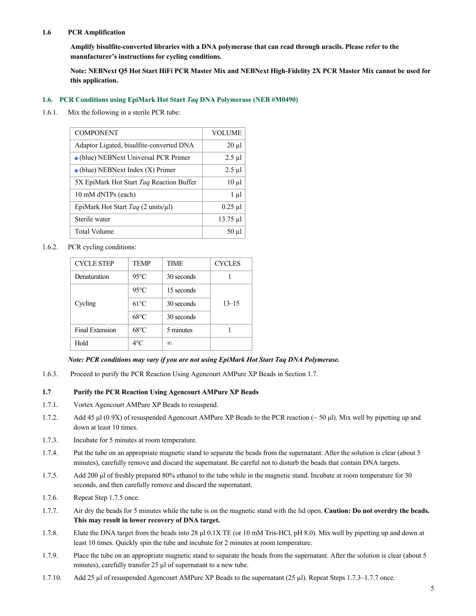### **1.6 PCR Amplification**

**Amplify bisulfite-converted libraries with a DNA polymerase that can read through uracils. Please refer to the manufacturer's instructions for cycling conditions.** 

**Note: NEBNext Q5 Hot Start HiFi PCR Master Mix and NEBNext High-Fidelity 2X PCR Master Mix cannot be used for this application.** 

### **1.6. PCR Conditions using EpiMark Hot Start** *Taq* **DNA Polymerase (NEB #M0490)**

1.6.1. Mix the following in a sterile PCR tube:

| <b>COMPONENT</b>                                      | <b>VOLUME</b> |
|-------------------------------------------------------|---------------|
| Adaptor Ligated, bisulfite-converted DNA              | $20 \mu l$    |
| • (blue) NEBNext Universal PCR Primer                 | $2.5 \mu$ l   |
| $\bullet$ (blue) NEBNext Index (X) Primer             | $2.5 \mu$ l   |
| 5X EpiMark Hot Start Taq Reaction Buffer              | $10 \mu$      |
| 10 mM dNTPs (each)                                    | $1 \mu l$     |
| EpiMark Hot Start Taq $(2 \text{ units/}\mu\text{I})$ | $0.25$ µl     |
| Sterile water                                         | $13.75 \mu$ l |
| Total Volume                                          | $50 \mu l$    |

1.6.2. PCR cycling conditions:

| <b>CYCLE STEP</b> | <b>TEMP</b>    | <b>TIME</b> | <b>CYCLES</b> |
|-------------------|----------------|-------------|---------------|
| Denaturation      | $95^{\circ}$ C | 30 seconds  |               |
|                   | $95^{\circ}$ C | 15 seconds  |               |
| Cycling           | $61^{\circ}$ C | 30 seconds  | $13 - 15$     |
|                   | $68^{\circ}$ C | 30 seconds  |               |
| Final Extension   | $68^{\circ}$ C | 5 minutes   |               |
| Hold              | $4^{\circ}$ C  | $\infty$    |               |

### *Note: PCR conditions may vary if you are not using EpiMark Hot Start Taq DNA Polymerase.*

1.6.3. Proceed to purify the PCR Reaction Using Agencourt AMPure XP Beads in Section 1.7.

### **1.7 Purify the PCR Reaction Using Agencourt AMPure XP Beads**

- 1.7.1. Vortex Agencourt AMPure XP Beads to resuspend.
- 1.7.2. Add 45 μl (0.9X) of resuspended Agencourt AMPure XP Beads to the PCR reaction (~ 50 μl). Mix well by pipetting up and down at least 10 times.
- 1.7.3. Incubate for 5 minutes at room temperature.
- 1.7.4. Put the tube on an appropriate magnetic stand to separate the beads from the supernatant. After the solution is clear (about 5 minutes), carefully remove and discard the supernatant. Be careful not to disturb the beads that contain DNA targets.
- 1.7.5. Add 200 μl of freshly prepared 80% ethanol to the tube while in the magnetic stand. Incubate at room temperature for 30 seconds, and then carefully remove and discard the supernatant.
- 1.7.6. Repeat Step 1.7.5 once.
- 1.7.7. Air dry the beads for 5 minutes while the tube is on the magnetic stand with the lid open. **Caution: Do not overdry the beads. This may result in lower recovery of DNA target.**
- 1.7.8. Elute the DNA target from the beads into 28 μl 0.1X TE (or 10 mM Tris-HCl, pH 8.0). Mix well by pipetting up and down at least 10 times. Quickly spin the tube and incubate for 2 minutes at room temperature.
- 1.7.9. Place the tube on an appropriate magnetic stand to separate the beads from the supernatant. After the solution is clear (about 5 minutes), carefully transfer 25 µl of supernatant to a new tube.
- 1.7.10. Add 25 µl of resuspended Agencourt AMPure XP Beads to the supernatant (25 µl). Repeat Steps 1.7.3–1.7.7 once.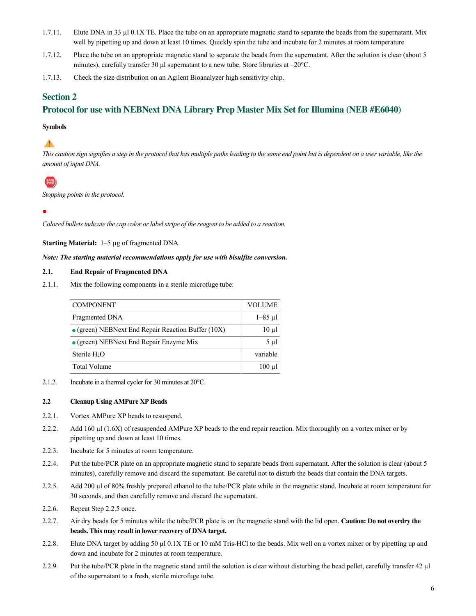- 1.7.11. Elute DNA in 33  $\mu$ 10.1X TE. Place the tube on an appropriate magnetic stand to separate the beads from the supernatant. Mix well by pipetting up and down at least 10 times. Quickly spin the tube and incubate for 2 minutes at room temperature
- 1.7.12. Place the tube on an appropriate magnetic stand to separate the beads from the supernatant. After the solution is clear (about 5 minutes), carefully transfer 30 μl supernatant to a new tube. Store libraries at –20°C.
- 1.7.13. Check the size distribution on an Agilent Bioanalyzer high sensitivity chip.

### **Section 2**

## **Protocol for use with NEBNext DNA Library Prep Master Mix Set for Illumina (NEB #E6040)**

### **Symbols**

# $\blacktriangle$

*This caution sign signifies a step in the protocol that has multiple paths leading to the same end point but is dependent on a user variable, like the amount of input DNA.*

# **SAFE**

*Stopping points in the protocol.*

*Colored bullets indicate the cap color or label stripe of the reagent to be added to a reaction.*

**Starting Material:** 1–5 µg of fragmented DNA.

### *Note: The starting material recommendations apply for use with bisulfite conversion.*

### **2.1. End Repair of Fragmented DNA**

2.1.1. Mix the following components in a sterile microfuge tube:

| <b>COMPONENT</b>                                           | <b>VOLUME</b>  |
|------------------------------------------------------------|----------------|
| Fragmented DNA                                             | $1 - 85$ µ $1$ |
| $\bullet$ (green) NEBNext End Repair Reaction Buffer (10X) | $10 \mu l$     |
| $\bullet$ (green) NEBNext End Repair Enzyme Mix            | $5 \mu l$      |
| Sterile H <sub>2</sub> O                                   | variable       |
| Total Volume                                               | $100$ ul       |

2.1.2. Incubate in a thermal cycler for 30 minutes at 20°C.

### **2.2 Cleanup Using AMPure XP Beads**

- 2.2.1. Vortex AMPure XP beads to resuspend.
- 2.2.2. Add 160 µl (1.6X) of resuspended AMPure XP beads to the end repair reaction. Mix thoroughly on a vortex mixer or by pipetting up and down at least 10 times.
- 2.2.3. Incubate for 5 minutes at room temperature.
- 2.2.4. Put the tube/PCR plate on an appropriate magnetic stand to separate beads from supernatant. After the solution is clear (about 5 minutes), carefully remove and discard the supernatant. Be careful not to disturb the beads that contain the DNA targets.
- 2.2.5. Add 200 µl of 80% freshly prepared ethanol to the tube/PCR plate while in the magnetic stand. Incubate at room temperature for 30 seconds, and then carefully remove and discard the supernatant.
- 2.2.6. Repeat Step 2.2.5 once.
- 2.2.7. Air dry beads for 5 minutes while the tube/PCR plate is on the magnetic stand with the lid open. **Caution: Do not overdry the beads. This may result in lower recovery of DNA target.**
- 2.2.8. Elute DNA target by adding 50 µl 0.1X TE or 10 mM Tris-HCl to the beads. Mix well on a vortex mixer or by pipetting up and down and incubate for 2 minutes at room temperature.
- 2.2.9. Put the tube/PCR plate in the magnetic stand until the solution is clear without disturbing the bead pellet, carefully transfer 42 µl of the supernatant to a fresh, sterile microfuge tube.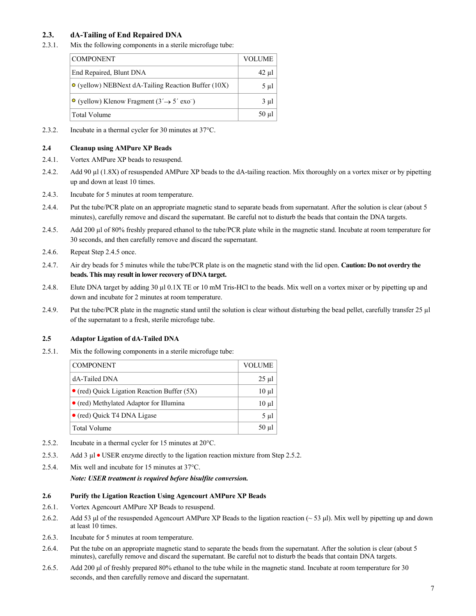### **2.3. dA-Tailing of End Repaired DNA**

2.3.1. Mix the following components in a sterile microfuge tube:

| <b>COMPONENT</b>                                                           | <b>VOLUME</b> |
|----------------------------------------------------------------------------|---------------|
| End Repaired, Blunt DNA                                                    | 42 µl         |
| $\circ$ (yellow) NEBNext dA-Tailing Reaction Buffer (10X)                  | $5 \mu l$     |
| $\bullet$ (yellow) Klenow Fragment (3' $\rightarrow$ 5' exo <sup>-</sup> ) | $3 \mu l$     |
| Total Volume                                                               | $50 \mu l$    |

2.3.2. Incubate in a thermal cycler for 30 minutes at 37°C.

### **2.4 Cleanup using AMPure XP Beads**

- 2.4.1. Vortex AMPure XP beads to resuspend.
- 2.4.2. Add 90 µl (1.8X) of resuspended AMPure XP beads to the dA-tailing reaction. Mix thoroughly on a vortex mixer or by pipetting up and down at least 10 times.
- 2.4.3. Incubate for 5 minutes at room temperature.
- 2.4.4. Put the tube/PCR plate on an appropriate magnetic stand to separate beads from supernatant. After the solution is clear (about 5 minutes), carefully remove and discard the supernatant. Be careful not to disturb the beads that contain the DNA targets.
- 2.4.5. Add 200 µl of 80% freshly prepared ethanol to the tube/PCR plate while in the magnetic stand. Incubate at room temperature for 30 seconds, and then carefully remove and discard the supernatant.
- 2.4.6. Repeat Step 2.4.5 once.
- 2.4.7. Air dry beads for 5 minutes while the tube/PCR plate is on the magnetic stand with the lid open. **Caution: Do not overdry the beads. This may result in lower recovery of DNA target.**
- 2.4.8. Elute DNA target by adding 30 µl 0.1X TE or 10 mM Tris-HCl to the beads. Mix well on a vortex mixer or by pipetting up and down and incubate for 2 minutes at room temperature.
- 2.4.9. Put the tube/PCR plate in the magnetic stand until the solution is clear without disturbing the bead pellet, carefully transfer 25 µl of the supernatant to a fresh, sterile microfuge tube.

### **2.5 Adaptor Ligation of dA-Tailed DNA**

2.5.1. Mix the following components in a sterile microfuge tube:

| <b>COMPONENT</b>                                    | VOLUME     |
|-----------------------------------------------------|------------|
| dA-Tailed DNA                                       | $25 \mu$ l |
| $\bullet$ (red) Quick Ligation Reaction Buffer (5X) | $10 \mu l$ |
| • (red) Methylated Adaptor for Illumina             | $10 \mu$   |
| • (red) Quick T4 DNA Ligase                         | 5 µl       |
| <b>Total Volume</b>                                 | $50 \mu$ l |

- 2.5.2. Incubate in a thermal cycler for 15 minutes at 20°C.
- 2.5.3. Add 3 µl USER enzyme directly to the ligation reaction mixture from Step 2.5.2.
- 2.5.4. Mix well and incubate for 15 minutes at 37°C.

*Note: USER treatment is required before bisulfite conversion.*

### **2.6 Purify the Ligation Reaction Using Agencourt AMPure XP Beads**

- 2.6.1. Vortex Agencourt AMPure XP Beads to resuspend.
- 2.6.2. Add 53 μl of the resuspended Agencourt AMPure XP Beads to the ligation reaction  $(-53 \text{ µ})$ . Mix well by pipetting up and down at least 10 times.
- 2.6.3. Incubate for 5 minutes at room temperature.
- 2.6.4. Put the tube on an appropriate magnetic stand to separate the beads from the supernatant. After the solution is clear (about 5 minutes), carefully remove and discard the supernatant. Be careful not to disturb the beads that contain DNA targets.
- 2.6.5. Add 200 μl of freshly prepared 80% ethanol to the tube while in the magnetic stand. Incubate at room temperature for 30 seconds, and then carefully remove and discard the supernatant.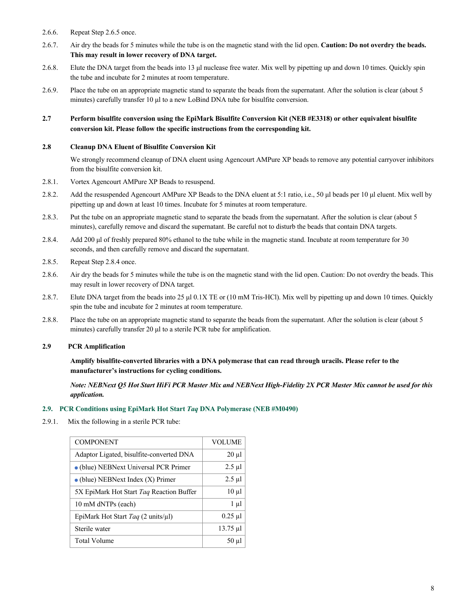- 2.6.6. Repeat Step 2.6.5 once.
- 2.6.7. Air dry the beads for 5 minutes while the tube is on the magnetic stand with the lid open. **Caution: Do not overdry the beads. This may result in lower recovery of DNA target.**
- 2.6.8. Elute the DNA target from the beads into 13 μl nuclease free water. Mix well by pipetting up and down 10 times. Quickly spin the tube and incubate for 2 minutes at room temperature.
- 2.6.9. Place the tube on an appropriate magnetic stand to separate the beads from the supernatant. After the solution is clear (about 5 minutes) carefully transfer 10 μl to a new LoBind DNA tube for bisulfite conversion.

### **2.7 Perform bisulfite conversion using the EpiMark Bisulfite Conversion Kit (NEB #E3318) or other equivalent bisulfite conversion kit. Please follow the specific instructions from the corresponding kit.**

### **2.8 Cleanup DNA Eluent of Bisulfite Conversion Kit**

We strongly recommend cleanup of DNA eluent using Agencourt AMPure XP beads to remove any potential carryover inhibitors from the bisulfite conversion kit.

- 2.8.1. Vortex Agencourt AMPure XP Beads to resuspend.
- 2.8.2. Add the resuspended Agencourt AMPure XP Beads to the DNA eluent at 5:1 ratio, i.e., 50 μl beads per 10 μl eluent. Mix well by pipetting up and down at least 10 times. Incubate for 5 minutes at room temperature.
- 2.8.3. Put the tube on an appropriate magnetic stand to separate the beads from the supernatant. After the solution is clear (about 5 minutes), carefully remove and discard the supernatant. Be careful not to disturb the beads that contain DNA targets.
- 2.8.4. Add 200 μl of freshly prepared 80% ethanol to the tube while in the magnetic stand. Incubate at room temperature for 30 seconds, and then carefully remove and discard the supernatant.
- 2.8.5. Repeat Step 2.8.4 once.
- 2.8.6. Air dry the beads for 5 minutes while the tube is on the magnetic stand with the lid open. Caution: Do not overdry the beads. This may result in lower recovery of DNA target.
- 2.8.7. Elute DNA target from the beads into 25 μl 0.1X TE or (10 mM Tris-HCl). Mix well by pipetting up and down 10 times. Quickly spin the tube and incubate for 2 minutes at room temperature.
- 2.8.8. Place the tube on an appropriate magnetic stand to separate the beads from the supernatant. After the solution is clear (about 5 minutes) carefully transfer 20 μl to a sterile PCR tube for amplification.

### **2.9 PCR Amplification**

**Amplify bisulfite-converted libraries with a DNA polymerase that can read through uracils. Please refer to the manufacturer's instructions for cycling conditions.** 

*Note: NEBNext Q5 Hot Start HiFi PCR Master Mix and NEBNext High-Fidelity 2X PCR Master Mix cannot be used for this application.* 

### **2.9. PCR Conditions using EpiMark Hot Start** *Taq* **DNA Polymerase (NEB #M0490)**

2.9.1. Mix the following in a sterile PCR tube:

| <b>COMPONENT</b>                          | <b>VOLUME</b> |
|-------------------------------------------|---------------|
| Adaptor Ligated, bisulfite-converted DNA  | $20 \mu l$    |
| • (blue) NEBNext Universal PCR Primer     | $2.5 \mu$ l   |
| $\bullet$ (blue) NEBNext Index (X) Primer | $2.5 \mu$ l   |
| 5X EpiMark Hot Start Taq Reaction Buffer  | $10 \mu l$    |
| 10 mM dNTPs (each)                        | $1 \mu l$     |
| EpiMark Hot Start Taq (2 units/ $\mu$ l)  | $0.25$ µl     |
| Sterile water                             | $13.75 \mu$ l |
| Total Volume                              | $50 \mu$ l    |
|                                           |               |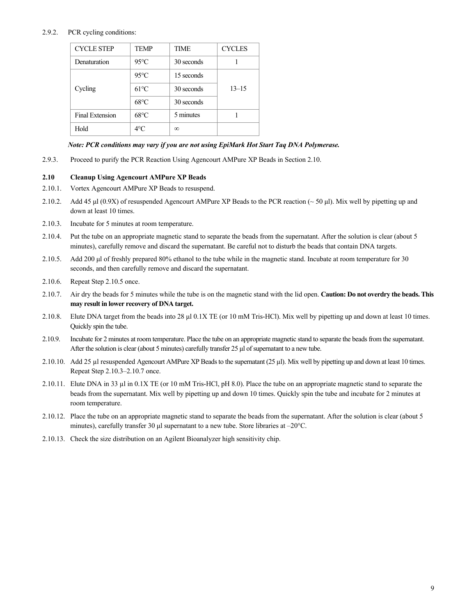### 2.9.2. PCR cycling conditions:

| <b>CYCLE STEP</b> | <b>TEMP</b>    | <b>TIME</b> | <b>CYCLES</b> |
|-------------------|----------------|-------------|---------------|
| Denaturation      | $95^{\circ}$ C | 30 seconds  |               |
|                   | $95^{\circ}$ C | 15 seconds  |               |
| Cycling           | $61^{\circ}$ C | 30 seconds  | $13 - 15$     |
|                   | $68^{\circ}$ C | 30 seconds  |               |
| Final Extension   | $68^{\circ}$ C | 5 minutes   |               |
| Hold              | $4^{\circ}$ C  | $\infty$    |               |

### *Note: PCR conditions may vary if you are not using EpiMark Hot Start Taq DNA Polymerase.*

2.9.3. Proceed to purify the PCR Reaction Using Agencourt AMPure XP Beads in Section 2.10.

### **2.10 Cleanup Using Agencourt AMPure XP Beads**

- 2.10.1. Vortex Agencourt AMPure XP Beads to resuspend.
- 2.10.2. Add 45 μl (0.9X) of resuspended Agencourt AMPure XP Beads to the PCR reaction ( $\sim$  50 μl). Mix well by pipetting up and down at least 10 times.
- 2.10.3. Incubate for 5 minutes at room temperature.
- 2.10.4. Put the tube on an appropriate magnetic stand to separate the beads from the supernatant. After the solution is clear (about 5 minutes), carefully remove and discard the supernatant. Be careful not to disturb the beads that contain DNA targets.
- 2.10.5. Add 200 μl of freshly prepared 80% ethanol to the tube while in the magnetic stand. Incubate at room temperature for 30 seconds, and then carefully remove and discard the supernatant.
- 2.10.6. Repeat Step 2.10.5 once.
- 2.10.7. Air dry the beads for 5 minutes while the tube is on the magnetic stand with the lid open. **Caution: Do not overdry the beads. This may result in lower recovery of DNA target.**
- 2.10.8. Elute DNA target from the beads into 28 µl 0.1X TE (or 10 mM Tris-HCl). Mix well by pipetting up and down at least 10 times. Quickly spin the tube.
- 2.10.9. Incubate for 2 minutes at room temperature. Place the tube on an appropriate magnetic stand to separate the beads from the supernatant. After the solution is clear (about 5 minutes) carefully transfer 25 μl of supernatant to a new tube.
- 2.10.10. Add 25 µl resuspended Agencourt AMPure XP Beads to the supernatant (25 µl). Mix well by pipetting up and down at least 10 times. Repeat Step 2.10.3–2.10.7 once.
- 2.10.11. Elute DNA in 33 µl in 0.1X TE (or 10 mM Tris-HCl, pH 8.0). Place the tube on an appropriate magnetic stand to separate the beads from the supernatant. Mix well by pipetting up and down 10 times. Quickly spin the tube and incubate for 2 minutes at room temperature.
- 2.10.12. Place the tube on an appropriate magnetic stand to separate the beads from the supernatant. After the solution is clear (about 5 minutes), carefully transfer 30 μl supernatant to a new tube. Store libraries at –20°C.
- 2.10.13. Check the size distribution on an Agilent Bioanalyzer high sensitivity chip.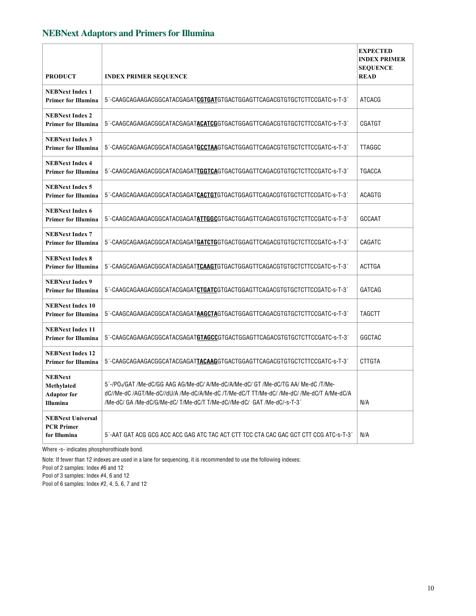# **NEBNext Adaptors and Primers for Illumina**

| <b>PRODUCT</b>                                                 | <b>INDEX PRIMER SEQUENCE</b>                                                                                                                                                                                                                              | <b>EXPECTED</b><br><b>INDEX PRIMER</b><br><b>SEQUENCE</b><br><b>READ</b> |
|----------------------------------------------------------------|-----------------------------------------------------------------------------------------------------------------------------------------------------------------------------------------------------------------------------------------------------------|--------------------------------------------------------------------------|
| <b>NEBNext Index 1</b><br><b>Primer for Illumina</b>           | 5'-CAAGCAGAAGACGGCATACGAGATCGTGATGTGACTGGAGTTCAGACGTGTGCTCTTCCGATC-s-T-3'                                                                                                                                                                                 | <b>ATCACG</b>                                                            |
| <b>NEBNext Index 2</b><br><b>Primer for Illumina</b>           | 5'-CAAGCAGAAGACGGCATACGAGAT <b>ACATCG</b> GTGACTGGAGTTCAGACGTGTGCTCTTCCGATC-s-T-3'                                                                                                                                                                        | CGATGT                                                                   |
| <b>NEBNext Index 3</b><br><b>Primer for Illumina</b>           | 5´-CAAGCAGAAGACGGCATACGAGAT <b>GCCTAA</b> GTGACTGGAGTTCAGACGTGTGCTCTTCCGATC-s-T-3´                                                                                                                                                                        | <b>TTAGGC</b>                                                            |
| <b>NEBNext Index 4</b><br><b>Primer for Illumina</b>           | 5´-CAAGCAGAAGACGGCATACGAGAT <b>IGGTCA</b> GTGACTGGAGTTCAGACGTGTGCTCTTCCGATC-s-T-3´                                                                                                                                                                        | <b>TGACCA</b>                                                            |
| <b>NEBNext Index 5</b><br>Primer for Illumina                  | 5'-CAAGCAGAAGACGGCATACGAGAT <b>CACTGT</b> GTGACTGGAGTTCAGACGTGTGTCTTTCCGATC-s-T-3'                                                                                                                                                                        | <b>ACAGTG</b>                                                            |
| <b>NEBNext Index 6</b><br><b>Primer for Illumina</b>           | 5'-CAAGCAGAAGACGGCATACGAGATATTGGCGTGACTGGAGTTCAGACGTGTGCTCTTCCGATC-s-T-3'                                                                                                                                                                                 | GCCAAT                                                                   |
| <b>NEBNext Index 7</b><br><b>Primer for Illumina</b>           | 5'-CAAGCAGAAGACGGCATACGAGATGATCTGGTGACTGGAGTTCAGACGTGTGCTCTTCCGATC-s-T-3'                                                                                                                                                                                 | CAGATC                                                                   |
| <b>NEBNext Index 8</b><br><b>Primer for Illumina</b>           | 5'-CAAGCAGAAGACGGCATACGAGATTCAAGTGTGACTGGAGTTCAGACGTGTGCTCTTCCGATC-s-T-3'                                                                                                                                                                                 | <b>ACTTGA</b>                                                            |
| <b>NEBNext Index 9</b><br><b>Primer for Illumina</b>           | 5'-CAAGCAGAAGACGGCATACGAGAT <b>CTGATC</b> GTGACTGGAGTTCAGACGTGTGCTCTTCCGATC-s-T-3'                                                                                                                                                                        | GATCAG                                                                   |
| <b>NEBNext Index 10</b><br><b>Primer for Illumina</b>          | 5'-CAAGCAGAAGACGGCATACGAGATAAGCTAGTGACTGGAGTTCAGACGTGTGCTCTTCCGATC-s-T-3'                                                                                                                                                                                 | <b>TAGCTT</b>                                                            |
| <b>NEBNext Index 11</b><br><b>Primer for Illumina</b>          | 5´-CAAGCAGAAGACGGCATACGAGAT <b>GTAGCC</b> GTGACTGGAGTTCAGACGTGTGCTCTTCCGATC-s-T-3´                                                                                                                                                                        | GGCTAC                                                                   |
| <b>NEBNext Index 12</b><br><b>Primer for Illumina</b>          | 5'-CAAGCAGAAGACGGCATACGAGATTACAAGGTGACTGGAGTTCAGACGTGTGTCTTTCCGATC-s-T-3'                                                                                                                                                                                 | <b>CTTGTA</b>                                                            |
| <b>NEBNext</b><br>Methylated<br><b>Adaptor</b> for<br>Illumina | 5'-/PO4/GAT /Me-dC/GG AAG AG/Me-dC/ A/Me-dC/A/Me-dC/ GT /Me-dC/TG AA/ Me-dC /T/Me-<br>dC//Me-dC /AGT/Me-dC//dU/A /Me-dC/A/Me-dC /T/Me-dC/T TT/Me-dC/ /Me-dC/ /Me-dC/T A/Me-dC/A<br>/Me-dC/ GA /Me-dC/G/Me-dC/ T/Me-dC/T T/Me-dC//Me-dC/ GAT /Me-dC/-s-T-3 | N/A                                                                      |
| <b>NEBNext Universal</b><br><b>PCR Primer</b><br>for Illumina  | 5'-AAT GAT ACG GCG ACC ACC GAG ATC TAC ACT CTT TCC CTA CAC GAC GCT CTT CCG ATC-s-T-3'                                                                                                                                                                     | N/A                                                                      |

Where -s- indicates phosphorothioate bond.

Note: If fewer than 12 indexes are used in a lane for sequencing, it is recommended to use the following indexes:

Pool of 2 samples: Index #6 and 12

Pool of 3 samples: Index #4, 6 and 12

Pool of 6 samples: Index #2, 4, 5, 6, 7 and 12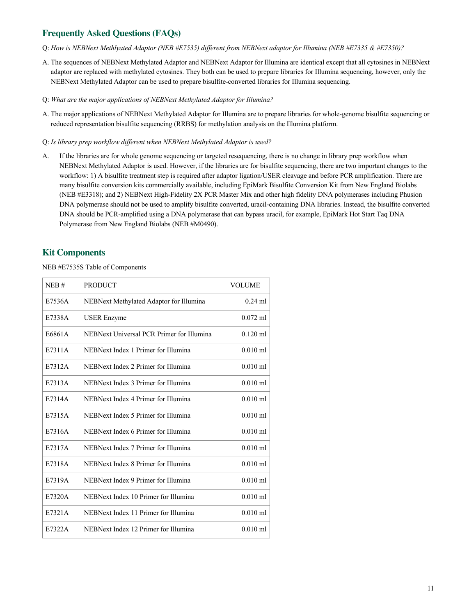# **Frequently Asked Questions (FAQs)**

- Q: *How is NEBNext Methlyated Adaptor (NEB #E7535) different from NEBNext adaptor for Illumina (NEB #E7335 & #E7350)?*
- A. The sequences of NEBNext Methylated Adaptor and NEBNext Adaptor for Illumina are identical except that all cytosines in NEBNext adaptor are replaced with methylated cytosines. They both can be used to prepare libraries for Illumina sequencing, however, only the NEBNext Methylated Adaptor can be used to prepare bisulfite-converted libraries for Illumina sequencing.
- Q: *What are the major applications of NEBNext Methylated Adaptor for Illumina?*
- A. The major applications of NEBNext Methylated Adaptor for Illumina are to prepare libraries for whole-genome bisulfite sequencing or reduced representation bisulfite sequencing (RRBS) for methylation analysis on the Illumina platform.
- Q: *Is library prep workflow different when NEBNext Methylated Adaptor is used?*
- A. If the libraries are for whole genome sequencing or targeted resequencing, there is no change in library prep workflow when NEBNext Methylated Adaptor is used. However, if the libraries are for bisulfite sequencing, there are two important changes to the workflow: 1) A bisulfite treatment step is required after adaptor ligation/USER cleavage and before PCR amplification. There are many bisulfite conversion kits commercially available, including EpiMark Bisulfite Conversion Kit from New England Biolabs (NEB #E3318); and 2) NEBNext High-Fidelity 2X PCR Master Mix and other high fidelity DNA polymerases including Phusion DNA polymerase should not be used to amplify bisulfite converted, uracil-containing DNA libraries. Instead, the bisulfite converted DNA should be PCR-amplified using a DNA polymerase that can bypass uracil, for example, EpiMark Hot Start Taq DNA Polymerase from New England Biolabs (NEB #M0490).

# **Kit Components**

NEB #E7535S Table of Components

| NEB#   | <b>PRODUCT</b>                            | <b>VOLUME</b> |
|--------|-------------------------------------------|---------------|
| E7536A | NEBNext Methylated Adaptor for Illumina   | $0.24$ ml     |
| E7338A | <b>USER Enzyme</b>                        | $0.072$ ml    |
| E6861A | NEBNext Universal PCR Primer for Illumina | $0.120$ ml    |
| E7311A | NEBNext Index 1 Primer for Illumina       | $0.010$ ml    |
| E7312A | NEBNext Index 2 Primer for Illumina       | $0.010$ ml    |
| E7313A | NEBNext Index 3 Primer for Illumina       | $0.010$ ml    |
| E7314A | NEBNext Index 4 Primer for Illumina       | $0.010$ ml    |
| E7315A | NEBNext Index 5 Primer for Illumina       | $0.010$ ml    |
| E7316A | NEBNext Index 6 Primer for Illumina       | $0.010$ ml    |
| E7317A | NEBNext Index 7 Primer for Illumina       | $0.010$ ml    |
| E7318A | NEBNext Index 8 Primer for Illumina       | $0.010$ ml    |
| E7319A | NEBNext Index 9 Primer for Illumina       | $0.010$ ml    |
| E7320A | NEBNext Index 10 Primer for Illumina      | $0.010$ ml    |
| E7321A | NEBNext Index 11 Primer for Illumina      | $0.010$ ml    |
| E7322A | NEBNext Index 12 Primer for Illumina      | $0.010$ ml    |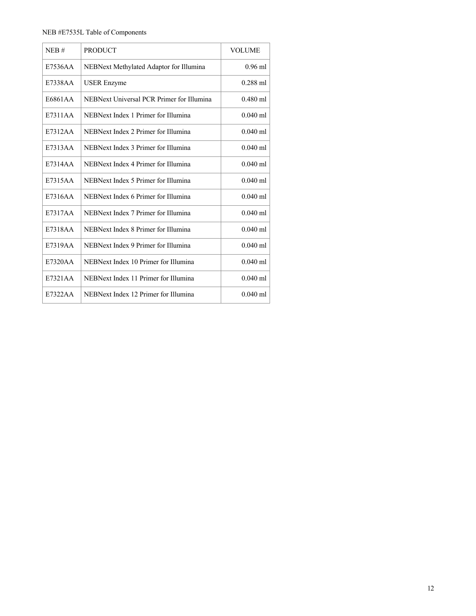### NEB #E7535L Table of Components

| NEB#    | <b>PRODUCT</b>                            | <b>VOLUME</b> |
|---------|-------------------------------------------|---------------|
| E7536AA | NEBNext Methylated Adaptor for Illumina   | $0.96$ ml     |
| E7338AA | <b>USER Enzyme</b>                        | $0.288$ ml    |
| E6861AA | NEBNext Universal PCR Primer for Illumina | $0.480$ ml    |
| E7311AA | NEBNext Index 1 Primer for Illumina       | $0.040$ ml    |
| E7312AA | NEBNext Index 2 Primer for Illumina       | $0.040$ ml    |
| E7313AA | NEBNext Index 3 Primer for Illumina       | $0.040$ ml    |
| E7314AA | NEBNext Index 4 Primer for Illumina       | $0.040$ ml    |
| E7315AA | NEBNext Index 5 Primer for Illumina       | $0.040$ ml    |
| E7316AA | NEBNext Index 6 Primer for Illumina       | $0.040$ ml    |
| E7317AA | NEBNext Index 7 Primer for Illumina       | $0.040$ ml    |
| E7318AA | NEBNext Index 8 Primer for Illumina       | $0.040$ ml    |
| E7319AA | NEBNext Index 9 Primer for Illumina       | $0.040$ ml    |
| E7320AA | NEBNext Index 10 Primer for Illumina      | $0.040$ ml    |
| E7321AA | NEBNext Index 11 Primer for Illumina      | $0.040$ ml    |
| E7322AA | NEBNext Index 12 Primer for Illumina      | $0.040$ ml    |